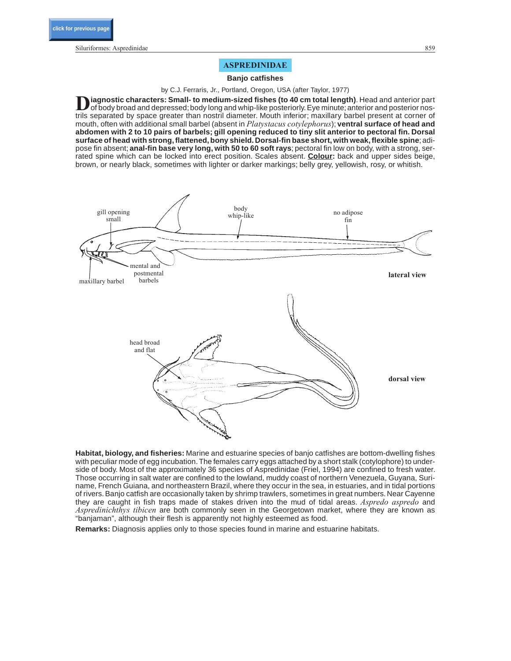Siluriformes: Aspredinidae 859

# **ASPREDINIDAE**

#### **Banjo catfishes**

by C.J. Ferraris, Jr., Portland, Oregon, USA (after Taylor, 1977)

Diagnostic characters: Small- to medium-sized fishes (to 40 cm total length). Head and anterior part of body broad and depressed; body long and whip-like posteriorly. Eye minute; anterior and posterior nostrils separated by space greater than nostril diameter. Mouth inferior; maxillary barbel present at corner of mouth, often with additional small barbel (absent in *Platystacus cotylephorus*); **ventral surface of head and abdomen with 2 to 10 pairs of barbels; gill opening reduced to tiny slit anterior to pectoral fin. Dorsal surface of head with strong, flattened, bony shield. Dorsal-fin base short, with weak, flexible spine**;adipose fin absent; **anal-fin base very long, with 50 to 60 soft rays**; pectoral fin low on body, with a strong, serrated spine which can be locked into erect position. Scales absent. **Colour:** back and upper sides beige, brown, or nearly black, sometimes with lighter or darker markings; belly grey, yellowish, rosy, or whitish.



**Habitat, biology, and fisheries:** Marine and estuarine species of banjo catfishes are bottom-dwelling fishes with peculiar mode of egg incubation. The females carry eggs attached by a short stalk (cotylophore) to underside of body. Most of the approximately 36 species of Aspredinidae (Friel, 1994) are confined to fresh water. Those occurring in salt water are confined to the lowland, muddy coast of northern Venezuela, Guyana, Suriname, French Guiana, and northeastern Brazil, where they occur in the sea, in estuaries, and in tidal portions of rivers. Banjo catfish are occasionally taken by shrimp trawlers, sometimes in great numbers. Near Cayenne they are caught in fish traps made of stakes driven into the mud of tidal areas. *Aspredo aspredo* and *Aspredinichthys tibicen* are both commonly seen in the Georgetown market, where they are known as "banjaman", although their flesh is apparently not highly esteemed as food.

**Remarks:** Diagnosis applies only to those species found in marine and estuarine habitats.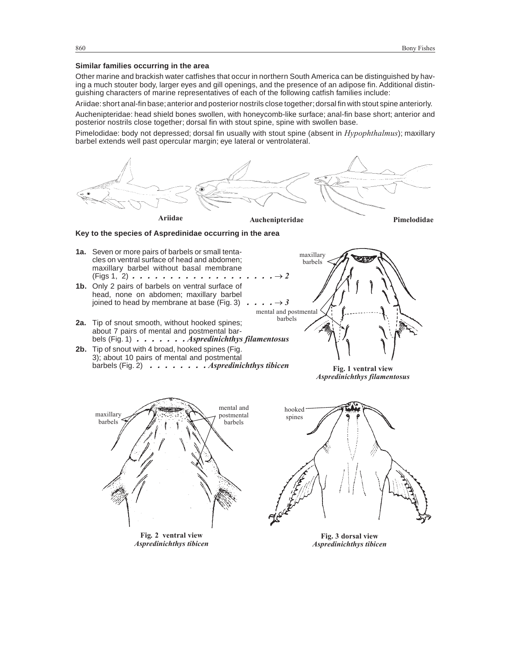### **Similar families occurring in the area**

Other marine and brackish water catfishes that occur in northern South America can be distinguished by having a much stouter body, larger eyes and gill openings, and the presence of an adipose fin. Additional distinguishing characters of marine representatives of each of the following catfish families include:

Ariidae:short anal-fin base;anterior and posterior nostrils close together;dorsal fin with stout spine anteriorly.

Auchenipteridae: head shield bones swollen, with honeycomb-like surface; anal-fin base short; anterior and posterior nostrils close together; dorsal fin with stout spine, spine with swollen base.

Pimelodidae: body not depressed; dorsal fin usually with stout spine (absent in *Hypophthalmus*); maxillary barbel extends well past opercular margin; eye lateral or ventrolateral.

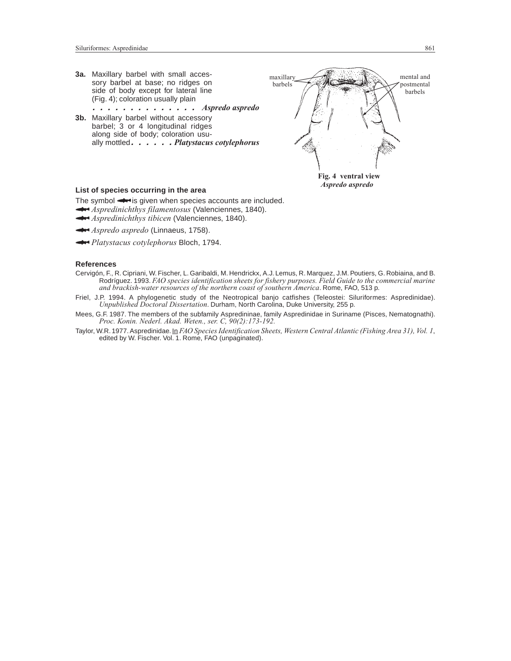

*Aspredo aspredo*

## **List of species occurring in the area**

The symbol  $\rightarrow$  is given when species accounts are included. *Aspredinichthys filamentosus* (Valenciennes, 1840).

- *Aspredinichthys tibicen* (Valenciennes, 1840).
- **Aspredo** aspredo (Linnaeus, 1758).
- *Platystacus cotylephorus* Bloch, 1794.

### **References**

- Cervigón, F., R. Cipriani, W. Fischer, L. Garibaldi, M. Hendrickx, A.J. Lemus, R. Marquez, J.M. Poutiers, G. Robiaina, and B. Rodríguez. 1993. *FAO species identification sheets for fishery purposes. Field Guide to the commercial marine and brackish-water resources of the northern coast of southern America*. Rome, FAO, 513 p.
- Friel, J.P. 1994. A phylogenetic study of the Neotropical banjo catfishes (Teleostei: Siluriformes: Aspredinidae). *Unpublished Doctoral Dissertation*. Durham, North Carolina, Duke University, 255 p.
- Mees, G.F. 1987. The members of the subfamily Aspredininae, family Aspredinidae in Suriname (Pisces, Nematognathi). *Proc. Konin. Nederl. Akad. Weten., ser. C, 90(2):173-192.*
- Taylor, W.R. 1977. Aspredinidae. In *FAO Species Identification Sheets, Western Central Atlantic (Fishing Area 31), Vol. 1*, edited by W. Fischer. Vol. 1. Rome, FAO (unpaginated).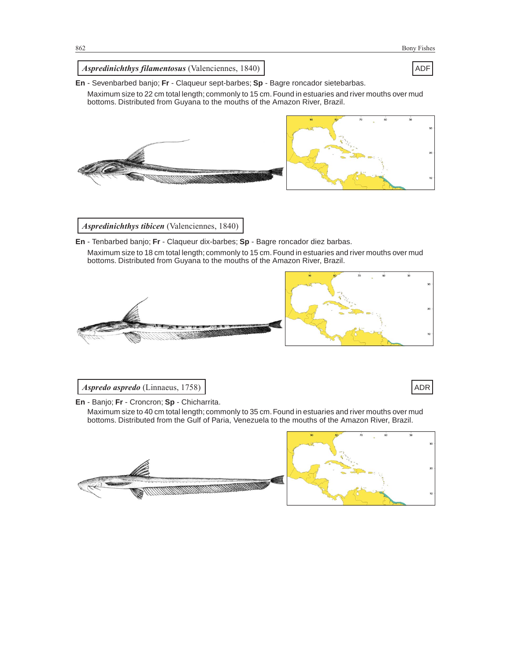

## *Aspredinichthys filamentosus* (Valenciennes, 1840) ADF

**En** - Sevenbarbed banjo; **Fr** - Claqueur sept-barbes; **Sp** - Bagre roncador sietebarbas.

Maximum size to 22 cm total length; commonly to 15 cm.Found in estuaries and river mouths over mud bottoms. Distributed from Guyana to the mouths of the Amazon River, Brazil.



*Aspredinichthys tibicen* (Valenciennes, 1840)

**En** - Tenbarbed banjo; **Fr** - Claqueur dix-barbes; **Sp** - Bagre roncador diez barbas.

Maximum size to 18 cm total length; commonly to 15 cm. Found in estuaries and river mouths over mud bottoms. Distributed from Guyana to the mouths of the Amazon River, Brazil.



*Aspredo aspredo* (Linnaeus, 1758) and a spredo aspredo (Linnaeus, 1758) and a spredo aspredo (ADR

**En** - Banjo; **Fr** - Croncron; **Sp** - Chicharrita.

Maximum size to 40 cm total length; commonly to 35 cm.Found in estuaries and river mouths over mud bottoms. Distributed from the Gulf of Paria, Venezuela to the mouths of the Amazon River, Brazil.



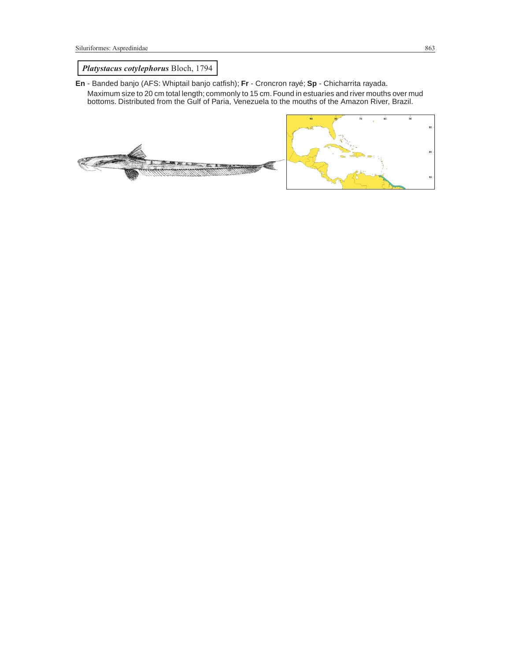# *Platystacus cotylephorus* Bloch, 1794

- **En** Banded banjo (AFS: Whiptail banjo catfish); **Fr** Croncron rayé; **Sp** Chicharrita rayada.
	- Maximum size to 20 cm total length; commonly to 15 cm.Found in estuaries and river mouths over mud bottoms. Distributed from the Gulf of Paria, Venezuela to the mouths of the Amazon River, Brazil.



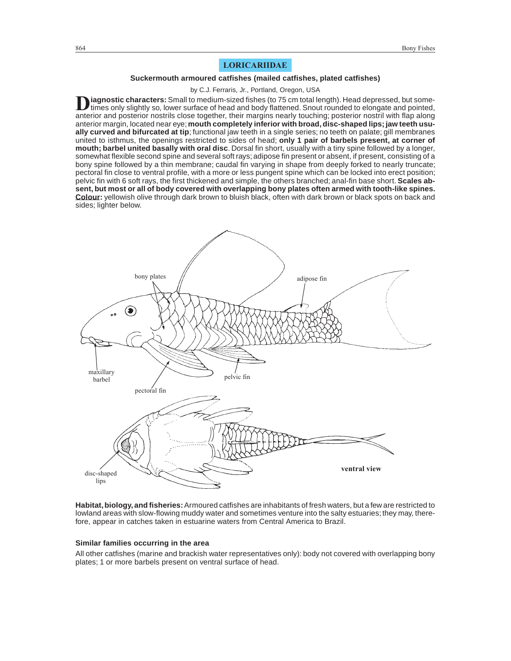# **LORICARIIDAE**

### **Suckermouth armoured catfishes (mailed catfishes, plated catfishes)**

by C.J. Ferraris, Jr., Portland, Oregon, USA

**D**iagnostic characters: Small to medium-sized fishes (to 75 cm total length). Head depressed, but some-<br>times only slightly so, lower surface of head and body flattened. Snout rounded to elongate and pointed, anterior and posterior nostrils close together, their margins nearly touching; posterior nostril with flap along anterior margin, located near eye;**mouth completely inferior with broad, disc-shaped lips; jaw teeth usually curved and bifurcated at tip**; functional jaw teeth in a single series; no teeth on palate; gill membranes united to isthmus, the openings restricted to sides of head; **only 1 pair of barbels present, at corner of mouth; barbel united basally with oral disc**. Dorsal fin short, usually with a tiny spine followed by a longer, somewhat flexible second spine and several soft rays; adipose fin present or absent, if present, consisting of a bony spine followed by a thin membrane; caudal fin varying in shape from deeply forked to nearly truncate; pectoral fin close to ventral profile, with a more or less pungent spine which can be locked into erect position; pelvic fin with 6 soft rays, the first thickened and simple, the others branched; anal-fin base short. **Scales absent, but most or all of body covered with overlapping bony plates often armed with tooth-like spines. Colour:** yellowish olive through dark brown to bluish black, often with dark brown or black spots on back and sides; lighter below.



**Habitat, biology, and fisheries:**Armoured catfishes are inhabitants of fresh waters, but a few are restricted to lowland areas with slow-flowing muddy water and sometimes venture into the salty estuaries; they may, therefore, appear in catches taken in estuarine waters from Central America to Brazil.

## **Similar families occurring in the area**

All other catfishes (marine and brackish water representatives only): body not covered with overlapping bony plates; 1 or more barbels present on ventral surface of head.